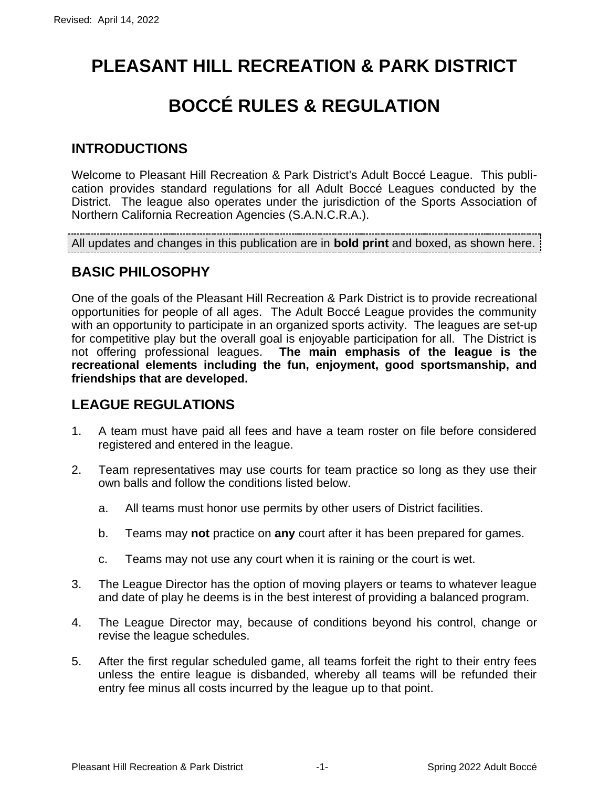# **PLEASANT HILL RECREATION & PARK DISTRICT**

# **BOCCÉ RULES & REGULATION**

#### **INTRODUCTIONS**

Welcome to Pleasant Hill Recreation & Park District's Adult Boccé League. This publication provides standard regulations for all Adult Boccé Leagues conducted by the District. The league also operates under the jurisdiction of the Sports Association of Northern California Recreation Agencies (S.A.N.C.R.A.).

All updates and changes in this publication are in **bold print** and boxed, as shown here.

#### **BASIC PHILOSOPHY**

One of the goals of the Pleasant Hill Recreation & Park District is to provide recreational opportunities for people of all ages. The Adult Boccé League provides the community with an opportunity to participate in an organized sports activity. The leagues are set-up for competitive play but the overall goal is enjoyable participation for all. The District is not offering professional leagues. **The main emphasis of the league is the recreational elements including the fun, enjoyment, good sportsmanship, and friendships that are developed.**

#### **LEAGUE REGULATIONS**

- 1. A team must have paid all fees and have a team roster on file before considered registered and entered in the league.
- 2. Team representatives may use courts for team practice so long as they use their own balls and follow the conditions listed below.
	- a. All teams must honor use permits by other users of District facilities.
	- b. Teams may **not** practice on **any** court after it has been prepared for games.
	- c. Teams may not use any court when it is raining or the court is wet.
- 3. The League Director has the option of moving players or teams to whatever league and date of play he deems is in the best interest of providing a balanced program.
- 4. The League Director may, because of conditions beyond his control, change or revise the league schedules.
- 5. After the first regular scheduled game, all teams forfeit the right to their entry fees unless the entire league is disbanded, whereby all teams will be refunded their entry fee minus all costs incurred by the league up to that point.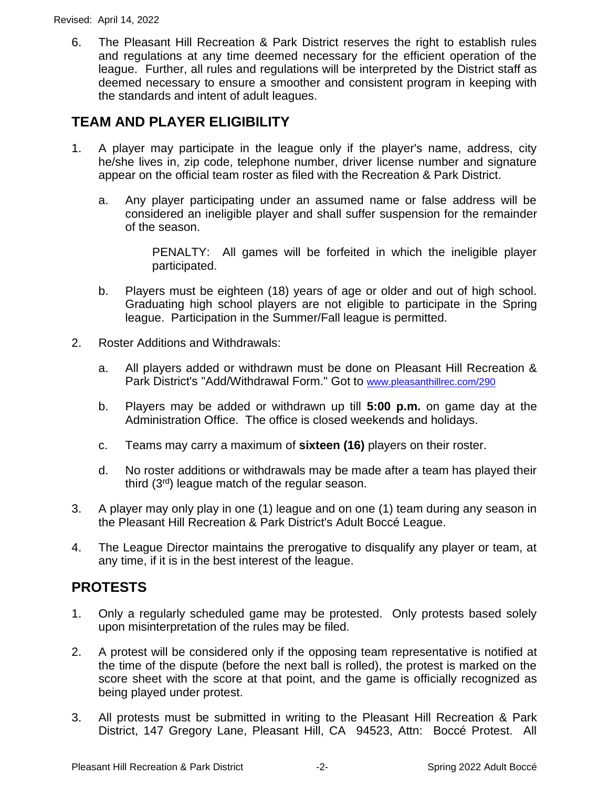6. The Pleasant Hill Recreation & Park District reserves the right to establish rules and regulations at any time deemed necessary for the efficient operation of the league. Further, all rules and regulations will be interpreted by the District staff as deemed necessary to ensure a smoother and consistent program in keeping with the standards and intent of adult leagues.

### **TEAM AND PLAYER ELIGIBILITY**

- 1. A player may participate in the league only if the player's name, address, city he/she lives in, zip code, telephone number, driver license number and signature appear on the official team roster as filed with the Recreation & Park District.
	- a. Any player participating under an assumed name or false address will be considered an ineligible player and shall suffer suspension for the remainder of the season.

PENALTY: All games will be forfeited in which the ineligible player participated.

- b. Players must be eighteen (18) years of age or older and out of high school. Graduating high school players are not eligible to participate in the Spring league. Participation in the Summer/Fall league is permitted.
- 2. Roster Additions and Withdrawals:
	- a. All players added or withdrawn must be done on Pleasant Hill Recreation & Park District's "Add/Withdrawal Form." Got to [www.pleasanthillrec.com/290](http://www.pleasanthillrec.com/290)
	- b. Players may be added or withdrawn up till **5:00 p.m.** on game day at the Administration Office. The office is closed weekends and holidays.
	- c. Teams may carry a maximum of **sixteen (16)** players on their roster.
	- d. No roster additions or withdrawals may be made after a team has played their third (3rd) league match of the regular season.
- 3. A player may only play in one (1) league and on one (1) team during any season in the Pleasant Hill Recreation & Park District's Adult Boccé League.
- 4. The League Director maintains the prerogative to disqualify any player or team, at any time, if it is in the best interest of the league.

#### **PROTESTS**

- 1. Only a regularly scheduled game may be protested. Only protests based solely upon misinterpretation of the rules may be filed.
- 2. A protest will be considered only if the opposing team representative is notified at the time of the dispute (before the next ball is rolled), the protest is marked on the score sheet with the score at that point, and the game is officially recognized as being played under protest.
- 3. All protests must be submitted in writing to the Pleasant Hill Recreation & Park District, 147 Gregory Lane, Pleasant Hill, CA 94523, Attn: Boccé Protest. All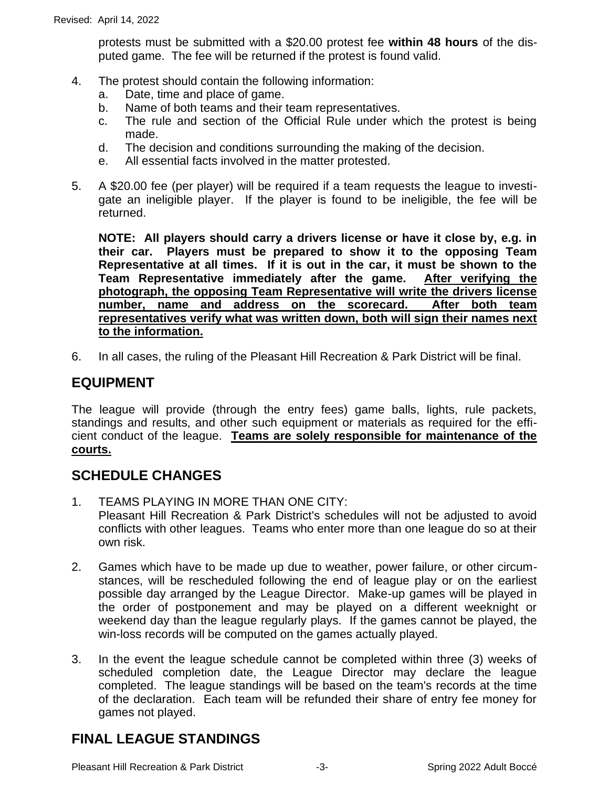protests must be submitted with a \$20.00 protest fee **within 48 hours** of the disputed game. The fee will be returned if the protest is found valid.

- 4. The protest should contain the following information:
	- a. Date, time and place of game.
	- b. Name of both teams and their team representatives.
	- c. The rule and section of the Official Rule under which the protest is being made.
	- d. The decision and conditions surrounding the making of the decision.
	- e. All essential facts involved in the matter protested.
- 5. A \$20.00 fee (per player) will be required if a team requests the league to investigate an ineligible player. If the player is found to be ineligible, the fee will be returned.

**NOTE: All players should carry a drivers license or have it close by, e.g. in their car. Players must be prepared to show it to the opposing Team Representative at all times. If it is out in the car, it must be shown to the Team Representative immediately after the game. After verifying the photograph, the opposing Team Representative will write the drivers license number, name and address on the scorecard. After both team representatives verify what was written down, both will sign their names next to the information.**

6. In all cases, the ruling of the Pleasant Hill Recreation & Park District will be final.

#### **EQUIPMENT**

The league will provide (through the entry fees) game balls, lights, rule packets, standings and results, and other such equipment or materials as required for the efficient conduct of the league. **Teams are solely responsible for maintenance of the courts.**

#### **SCHEDULE CHANGES**

- 1. TEAMS PLAYING IN MORE THAN ONE CITY: Pleasant Hill Recreation & Park District's schedules will not be adjusted to avoid conflicts with other leagues. Teams who enter more than one league do so at their own risk.
- 2. Games which have to be made up due to weather, power failure, or other circumstances, will be rescheduled following the end of league play or on the earliest possible day arranged by the League Director. Make-up games will be played in the order of postponement and may be played on a different weeknight or weekend day than the league regularly plays. If the games cannot be played, the win-loss records will be computed on the games actually played.
- 3. In the event the league schedule cannot be completed within three (3) weeks of scheduled completion date, the League Director may declare the league completed. The league standings will be based on the team's records at the time of the declaration. Each team will be refunded their share of entry fee money for games not played.

#### **FINAL LEAGUE STANDINGS**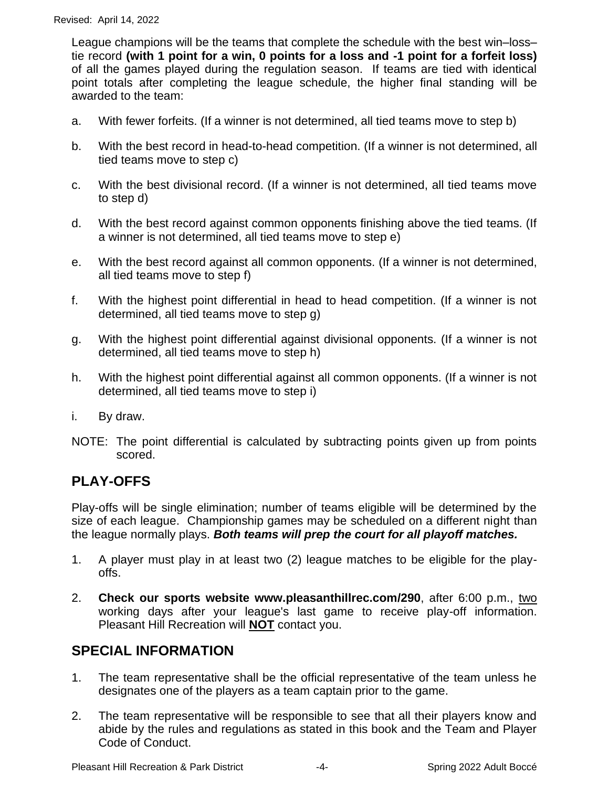League champions will be the teams that complete the schedule with the best win–loss– tie record **(with 1 point for a win, 0 points for a loss and -1 point for a forfeit loss)**  of all the games played during the regulation season. If teams are tied with identical point totals after completing the league schedule, the higher final standing will be awarded to the team:

- a. With fewer forfeits. (If a winner is not determined, all tied teams move to step b)
- b. With the best record in head-to-head competition. (If a winner is not determined, all tied teams move to step c)
- c. With the best divisional record. (If a winner is not determined, all tied teams move to step d)
- d. With the best record against common opponents finishing above the tied teams. (If a winner is not determined, all tied teams move to step e)
- e. With the best record against all common opponents. (If a winner is not determined, all tied teams move to step f)
- f. With the highest point differential in head to head competition. (If a winner is not determined, all tied teams move to step g)
- g. With the highest point differential against divisional opponents. (If a winner is not determined, all tied teams move to step h)
- h. With the highest point differential against all common opponents. (If a winner is not determined, all tied teams move to step i)
- i. By draw.
- NOTE: The point differential is calculated by subtracting points given up from points scored.

#### **PLAY-OFFS**

Play-offs will be single elimination; number of teams eligible will be determined by the size of each league. Championship games may be scheduled on a different night than the league normally plays. *Both teams will prep the court for all playoff matches.*

- 1. A player must play in at least two (2) league matches to be eligible for the playoffs.
- 2. **Check our sports website www.pleasanthillrec.com/290**, after 6:00 p.m., two working days after your league's last game to receive play-off information. Pleasant Hill Recreation will **NOT** contact you.

#### **SPECIAL INFORMATION**

- 1. The team representative shall be the official representative of the team unless he designates one of the players as a team captain prior to the game.
- 2. The team representative will be responsible to see that all their players know and abide by the rules and regulations as stated in this book and the Team and Player Code of Conduct.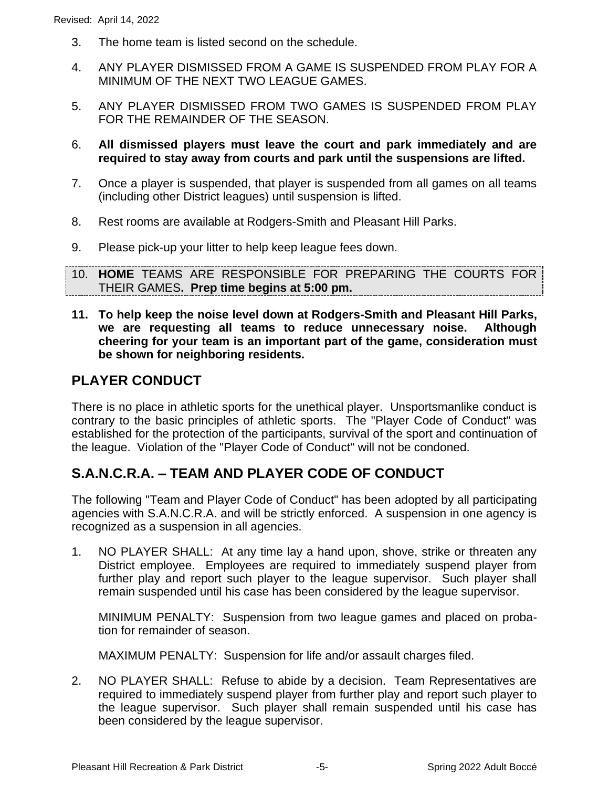- 3. The home team is listed second on the schedule.
- 4. ANY PLAYER DISMISSED FROM A GAME IS SUSPENDED FROM PLAY FOR A MINIMUM OF THE NEXT TWO LEAGUE GAMES.
- 5. ANY PLAYER DISMISSED FROM TWO GAMES IS SUSPENDED FROM PLAY FOR THE REMAINDER OF THE SEASON.
- 6. **All dismissed players must leave the court and park immediately and are required to stay away from courts and park until the suspensions are lifted.**
- 7. Once a player is suspended, that player is suspended from all games on all teams (including other District leagues) until suspension is lifted.
- 8. Rest rooms are available at Rodgers-Smith and Pleasant Hill Parks.
- 9. Please pick-up your litter to help keep league fees down.
- 10. **HOME** TEAMS ARE RESPONSIBLE FOR PREPARING THE COURTS FOR THEIR GAMES**. Prep time begins at 5:00 pm.**
- **11. To help keep the noise level down at Rodgers-Smith and Pleasant Hill Parks, we are requesting all teams to reduce unnecessary noise. Although cheering for your team is an important part of the game, consideration must be shown for neighboring residents.**

#### **PLAYER CONDUCT**

There is no place in athletic sports for the unethical player. Unsportsmanlike conduct is contrary to the basic principles of athletic sports. The "Player Code of Conduct" was established for the protection of the participants, survival of the sport and continuation of the league. Violation of the "Player Code of Conduct" will not be condoned.

#### **S.A.N.C.R.A. – TEAM AND PLAYER CODE OF CONDUCT**

The following "Team and Player Code of Conduct" has been adopted by all participating agencies with S.A.N.C.R.A. and will be strictly enforced. A suspension in one agency is recognized as a suspension in all agencies.

1. NO PLAYER SHALL: At any time lay a hand upon, shove, strike or threaten any District employee. Employees are required to immediately suspend player from further play and report such player to the league supervisor. Such player shall remain suspended until his case has been considered by the league supervisor.

MINIMUM PENALTY: Suspension from two league games and placed on probation for remainder of season.

MAXIMUM PENALTY: Suspension for life and/or assault charges filed.

2. NO PLAYER SHALL: Refuse to abide by a decision. Team Representatives are required to immediately suspend player from further play and report such player to the league supervisor. Such player shall remain suspended until his case has been considered by the league supervisor.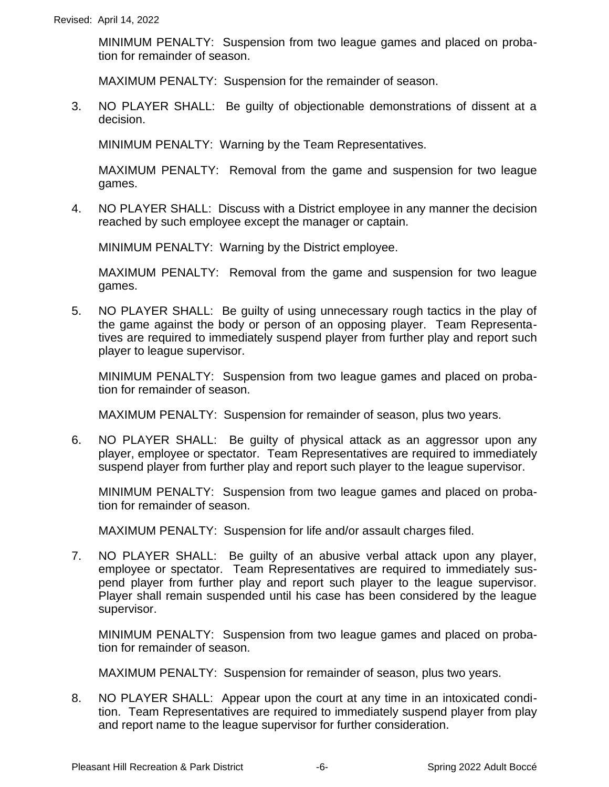MINIMUM PENALTY: Suspension from two league games and placed on probation for remainder of season.

MAXIMUM PENALTY: Suspension for the remainder of season.

3. NO PLAYER SHALL: Be guilty of objectionable demonstrations of dissent at a decision.

MINIMUM PENALTY: Warning by the Team Representatives.

MAXIMUM PENALTY: Removal from the game and suspension for two league games.

4. NO PLAYER SHALL: Discuss with a District employee in any manner the decision reached by such employee except the manager or captain.

MINIMUM PENALTY: Warning by the District employee.

MAXIMUM PENALTY: Removal from the game and suspension for two league games.

5. NO PLAYER SHALL: Be guilty of using unnecessary rough tactics in the play of the game against the body or person of an opposing player. Team Representatives are required to immediately suspend player from further play and report such player to league supervisor.

MINIMUM PENALTY: Suspension from two league games and placed on probation for remainder of season.

MAXIMUM PENALTY: Suspension for remainder of season, plus two years.

6. NO PLAYER SHALL: Be guilty of physical attack as an aggressor upon any player, employee or spectator. Team Representatives are required to immediately suspend player from further play and report such player to the league supervisor.

MINIMUM PENALTY: Suspension from two league games and placed on probation for remainder of season.

MAXIMUM PENALTY: Suspension for life and/or assault charges filed.

7. NO PLAYER SHALL: Be guilty of an abusive verbal attack upon any player, employee or spectator. Team Representatives are required to immediately suspend player from further play and report such player to the league supervisor. Player shall remain suspended until his case has been considered by the league supervisor.

MINIMUM PENALTY: Suspension from two league games and placed on probation for remainder of season.

MAXIMUM PENALTY: Suspension for remainder of season, plus two years.

8. NO PLAYER SHALL: Appear upon the court at any time in an intoxicated condition. Team Representatives are required to immediately suspend player from play and report name to the league supervisor for further consideration.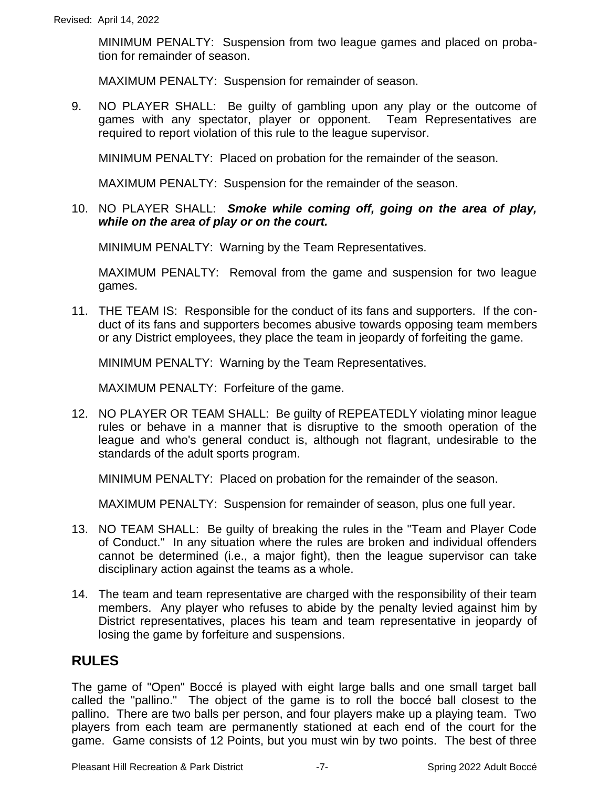MINIMUM PENALTY: Suspension from two league games and placed on probation for remainder of season.

MAXIMUM PENALTY: Suspension for remainder of season.

9. NO PLAYER SHALL: Be guilty of gambling upon any play or the outcome of games with any spectator, player or opponent. Team Representatives are required to report violation of this rule to the league supervisor.

MINIMUM PENALTY: Placed on probation for the remainder of the season.

MAXIMUM PENALTY: Suspension for the remainder of the season.

10. NO PLAYER SHALL: *Smoke while coming off, going on the area of play, while on the area of play or on the court.*

MINIMUM PENALTY: Warning by the Team Representatives.

MAXIMUM PENALTY: Removal from the game and suspension for two league games.

11. THE TEAM IS: Responsible for the conduct of its fans and supporters. If the conduct of its fans and supporters becomes abusive towards opposing team members or any District employees, they place the team in jeopardy of forfeiting the game.

MINIMUM PENALTY: Warning by the Team Representatives.

MAXIMUM PENALTY: Forfeiture of the game.

12. NO PLAYER OR TEAM SHALL: Be guilty of REPEATEDLY violating minor league rules or behave in a manner that is disruptive to the smooth operation of the league and who's general conduct is, although not flagrant, undesirable to the standards of the adult sports program.

MINIMUM PENALTY: Placed on probation for the remainder of the season.

MAXIMUM PENALTY: Suspension for remainder of season, plus one full year.

- 13. NO TEAM SHALL: Be guilty of breaking the rules in the "Team and Player Code of Conduct." In any situation where the rules are broken and individual offenders cannot be determined (i.e., a major fight), then the league supervisor can take disciplinary action against the teams as a whole.
- 14. The team and team representative are charged with the responsibility of their team members. Any player who refuses to abide by the penalty levied against him by District representatives, places his team and team representative in jeopardy of losing the game by forfeiture and suspensions.

#### **RULES**

The game of "Open" Boccé is played with eight large balls and one small target ball called the "pallino." The object of the game is to roll the boccé ball closest to the pallino. There are two balls per person, and four players make up a playing team. Two players from each team are permanently stationed at each end of the court for the game. Game consists of 12 Points, but you must win by two points. The best of three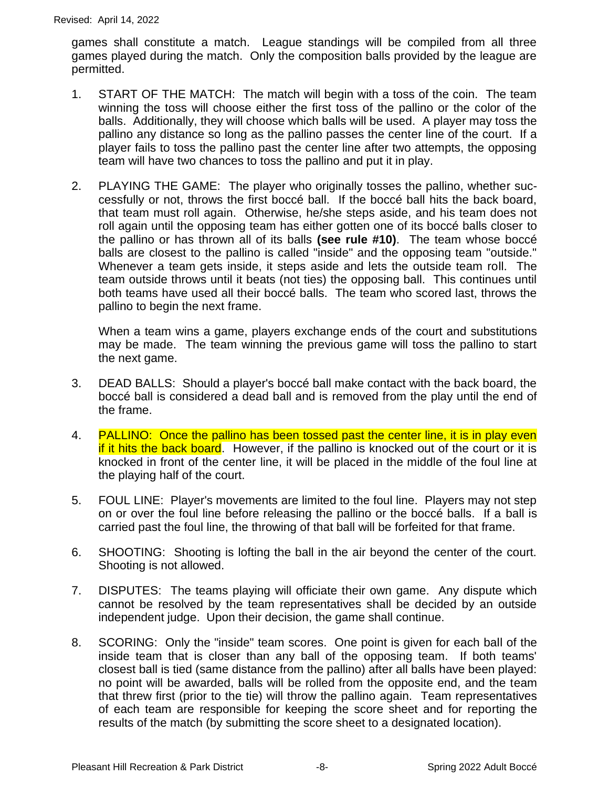games shall constitute a match. League standings will be compiled from all three games played during the match. Only the composition balls provided by the league are permitted.

- 1. START OF THE MATCH: The match will begin with a toss of the coin. The team winning the toss will choose either the first toss of the pallino or the color of the balls. Additionally, they will choose which balls will be used. A player may toss the pallino any distance so long as the pallino passes the center line of the court. If a player fails to toss the pallino past the center line after two attempts, the opposing team will have two chances to toss the pallino and put it in play.
- 2. PLAYING THE GAME: The player who originally tosses the pallino, whether successfully or not, throws the first boccé ball. If the boccé ball hits the back board, that team must roll again. Otherwise, he/she steps aside, and his team does not roll again until the opposing team has either gotten one of its boccé balls closer to the pallino or has thrown all of its balls **(see rule #10)**. The team whose boccé balls are closest to the pallino is called "inside" and the opposing team "outside." Whenever a team gets inside, it steps aside and lets the outside team roll. The team outside throws until it beats (not ties) the opposing ball. This continues until both teams have used all their boccé balls. The team who scored last, throws the pallino to begin the next frame.

When a team wins a game, players exchange ends of the court and substitutions may be made. The team winning the previous game will toss the pallino to start the next game.

- 3. DEAD BALLS: Should a player's boccé ball make contact with the back board, the boccé ball is considered a dead ball and is removed from the play until the end of the frame.
- 4. PALLINO: Once the pallino has been tossed past the center line, it is in play even if it hits the back board. However, if the pallino is knocked out of the court or it is knocked in front of the center line, it will be placed in the middle of the foul line at the playing half of the court.
- 5. FOUL LINE: Player's movements are limited to the foul line. Players may not step on or over the foul line before releasing the pallino or the boccé balls. If a ball is carried past the foul line, the throwing of that ball will be forfeited for that frame.
- 6. SHOOTING: Shooting is lofting the ball in the air beyond the center of the court. Shooting is not allowed.
- 7. DISPUTES: The teams playing will officiate their own game. Any dispute which cannot be resolved by the team representatives shall be decided by an outside independent judge. Upon their decision, the game shall continue.
- 8. SCORING: Only the "inside" team scores. One point is given for each ball of the inside team that is closer than any ball of the opposing team. If both teams' closest ball is tied (same distance from the pallino) after all balls have been played: no point will be awarded, balls will be rolled from the opposite end, and the team that threw first (prior to the tie) will throw the pallino again.Team representatives of each team are responsible for keeping the score sheet and for reporting the results of the match (by submitting the score sheet to a designated location).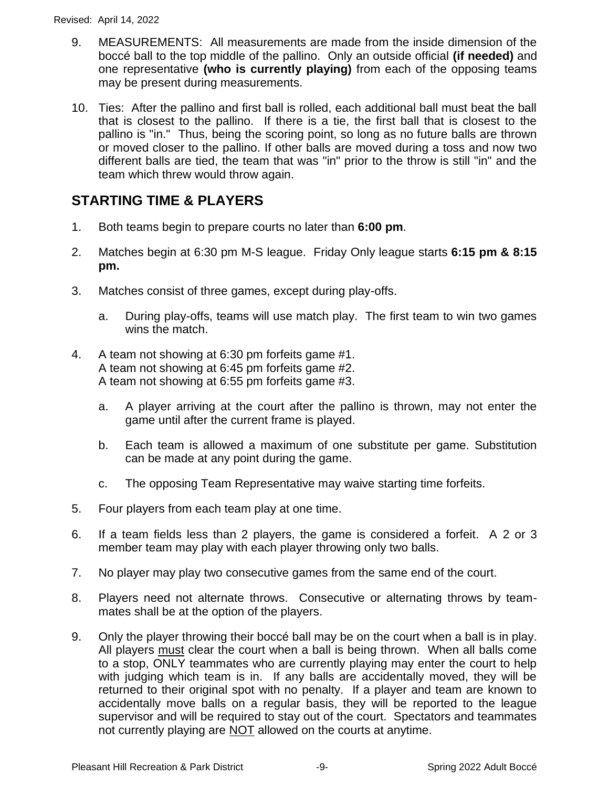- 9. MEASUREMENTS: All measurements are made from the inside dimension of the boccé ball to the top middle of the pallino. Only an outside official **(if needed)** and one representative **(who is currently playing)** from each of the opposing teams may be present during measurements.
- 10. Ties: After the pallino and first ball is rolled, each additional ball must beat the ball that is closest to the pallino. If there is a tie, the first ball that is closest to the pallino is "in." Thus, being the scoring point, so long as no future balls are thrown or moved closer to the pallino. If other balls are moved during a toss and now two different balls are tied, the team that was "in" prior to the throw is still "in" and the team which threw would throw again.

#### **STARTING TIME & PLAYERS**

- 1. Both teams begin to prepare courts no later than **6:00 pm**.
- 2. Matches begin at 6:30 pm M-S league. Friday Only league starts **6:15 pm & 8:15 pm.**
- 3. Matches consist of three games, except during play-offs.
	- a. During play-offs, teams will use match play. The first team to win two games wins the match.
- 4. A team not showing at 6:30 pm forfeits game #1. A team not showing at 6:45 pm forfeits game #2. A team not showing at 6:55 pm forfeits game #3.
	- a. A player arriving at the court after the pallino is thrown, may not enter the game until after the current frame is played.
	- b. Each team is allowed a maximum of one substitute per game. Substitution can be made at any point during the game.
	- c. The opposing Team Representative may waive starting time forfeits.
- 5. Four players from each team play at one time.
- 6. If a team fields less than 2 players, the game is considered a forfeit. A 2 or 3 member team may play with each player throwing only two balls.
- 7. No player may play two consecutive games from the same end of the court.
- 8. Players need not alternate throws. Consecutive or alternating throws by teammates shall be at the option of the players.
- 9. Only the player throwing their boccé ball may be on the court when a ball is in play. All players must clear the court when a ball is being thrown. When all balls come to a stop, ONLY teammates who are currently playing may enter the court to help with judging which team is in. If any balls are accidentally moved, they will be returned to their original spot with no penalty. If a player and team are known to accidentally move balls on a regular basis, they will be reported to the league supervisor and will be required to stay out of the court. Spectators and teammates not currently playing are NOT allowed on the courts at anytime.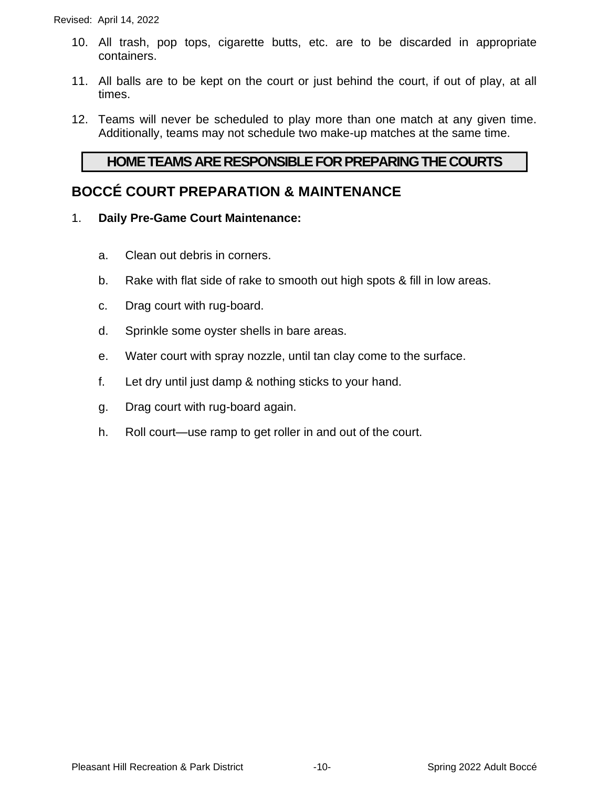- 10. All trash, pop tops, cigarette butts, etc. are to be discarded in appropriate containers.
- 11. All balls are to be kept on the court or just behind the court, if out of play, at all times.
- 12. Teams will never be scheduled to play more than one match at any given time. Additionally, teams may not schedule two make-up matches at the same time.

#### **HOME TEAMS ARE RESPONSIBLE FOR PREPARING THE COURTS**

#### **BOCCÉ COURT PREPARATION & MAINTENANCE**

- 1. **Daily Pre-Game Court Maintenance:**
	- a. Clean out debris in corners.
	- b. Rake with flat side of rake to smooth out high spots & fill in low areas.
	- c. Drag court with rug-board.
	- d. Sprinkle some oyster shells in bare areas.
	- e. Water court with spray nozzle, until tan clay come to the surface.
	- f. Let dry until just damp & nothing sticks to your hand.
	- g. Drag court with rug-board again.
	- h. Roll court—use ramp to get roller in and out of the court.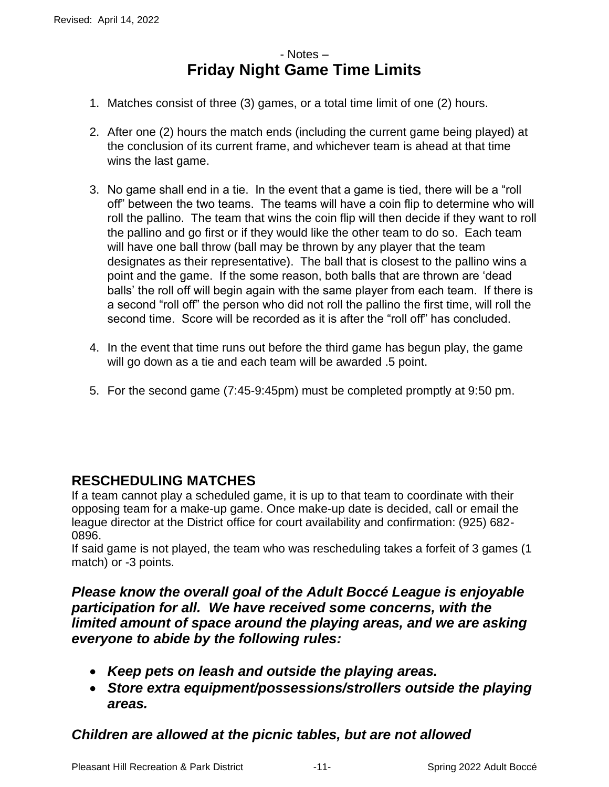#### - Notes – **Friday Night Game Time Limits**

- 1. Matches consist of three (3) games, or a total time limit of one (2) hours.
- 2. After one (2) hours the match ends (including the current game being played) at the conclusion of its current frame, and whichever team is ahead at that time wins the last game.
- 3. No game shall end in a tie. In the event that a game is tied, there will be a "roll off" between the two teams. The teams will have a coin flip to determine who will roll the pallino. The team that wins the coin flip will then decide if they want to roll the pallino and go first or if they would like the other team to do so. Each team will have one ball throw (ball may be thrown by any player that the team designates as their representative). The ball that is closest to the pallino wins a point and the game. If the some reason, both balls that are thrown are 'dead balls' the roll off will begin again with the same player from each team. If there is a second "roll off" the person who did not roll the pallino the first time, will roll the second time. Score will be recorded as it is after the "roll off" has concluded.
- 4. In the event that time runs out before the third game has begun play, the game will go down as a tie and each team will be awarded .5 point.
- 5. For the second game (7:45-9:45pm) must be completed promptly at 9:50 pm.

#### **RESCHEDULING MATCHES**

If a team cannot play a scheduled game, it is up to that team to coordinate with their opposing team for a make-up game. Once make-up date is decided, call or email the league director at the District office for court availability and confirmation: (925) 682- 0896.

If said game is not played, the team who was rescheduling takes a forfeit of 3 games (1 match) or -3 points.

*Please know the overall goal of the Adult Boccé League is enjoyable participation for all. We have received some concerns, with the limited amount of space around the playing areas, and we are asking everyone to abide by the following rules:* 

- *Keep pets on leash and outside the playing areas.*
- *Store extra equipment/possessions/strollers outside the playing areas.*

#### *Children are allowed at the picnic tables, but are not allowed*